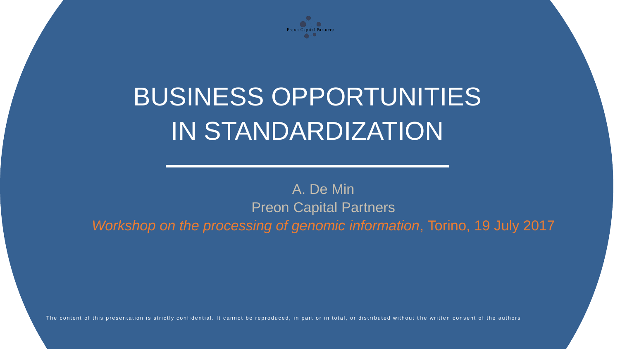

# BUSINESS OPPORTUNITIES IN STANDARDIZATION

#### A. De Min Preon Capital Partners *Workshop on the processing of genomic information*, Torino, 19 July 2017

The content of this presentation is strictly confidential. It cannot be reproduced, in part or in total, or distributed without the written consent of the authors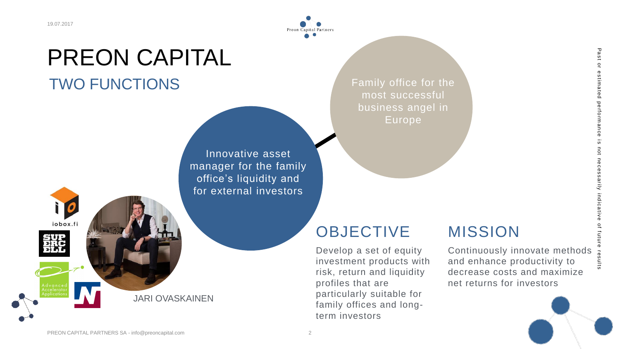iobox.fi

### PREON CAPITAL TWO FUNCTIONS

Innovative asset manager for the set family office's liquidity and for

JARI OVASKAINEN

for external investors  $\overline{a}$ most successful and Innovative asset manager for the family office's liquidity and

business angel in

Preon

Family office for the most successful business angel in Europe

### **OBJECTIVE**

Develop a set of equity investment products with risk, return and liquidity profiles that are particularly suitable for family offices and longterm investors

#### MISSION

Continuously innovate methods and enhance productivity to decrease costs and maximize net returns for investors

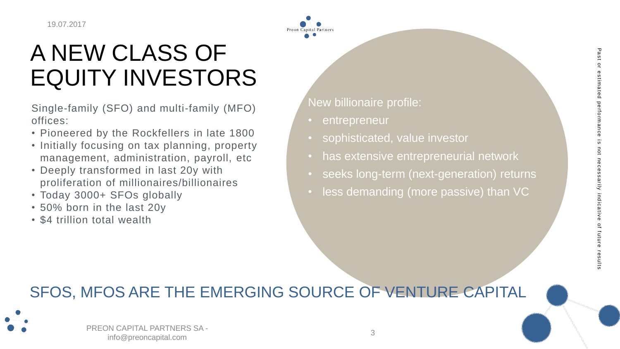### A NEW CLASS OF EQUITY INVESTORS

Single-family (SFO) and multi-family (MFO) offices:

- Pioneered by the Rockfellers in late 1800
- Initially focusing on tax planning, property management, administration, payroll, etc
- Deeply transformed in last 20y with proliferation of millionaires/billionaires
- Today 3000+ SFOs globally
- 50% born in the last 20y
- \$4 trillion total wealth

New billionaire profile:

- entrepreneur
- sophisticated, value investor
- has extensive entrepreneurial network
- seeks long-term (next-generation) returns
- less demanding (more passive) than VC

#### SFOS, MFOS ARE THE EMERGING SOURCE OF VENTURE CAPITAL



PREON CAPITAL PARTNERS SA info@preoncapital.com 3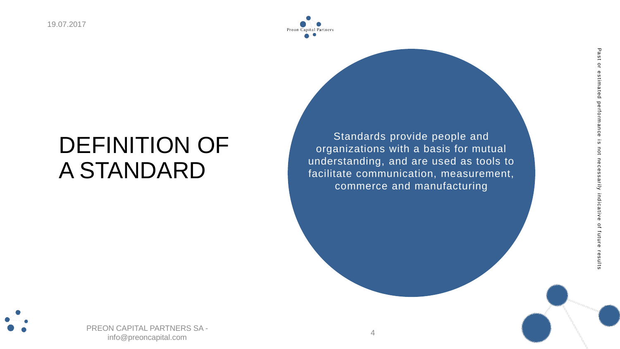

### DEFINITION OF A STANDARD

Standards provide people and organizations with a basis for mutual understanding, and are used as tools to facilitate communication, measurement, commerce and manufacturing

Past or estimated performance is not necessarily indicative of future results

arily

future

results

ۍ<br>۵



PREON CAPITAL PARTNERS SA info@preoncapital.com 4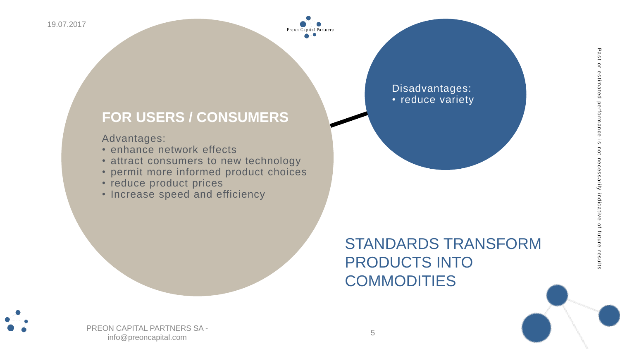

#### **FOR USERS / CONSUMERS**

Advantages:

- enhance network effects
- attract consumers to new technology
- permit more informed product choices
- reduce product prices
- Increase speed and efficiency

### STANDARDS TRANSFORM PRODUCTS INTO **COMMODITIES**

Disadvantages: • reduce variety

PREON CAPITAL PARTNERS SA info@preoncapital.com 5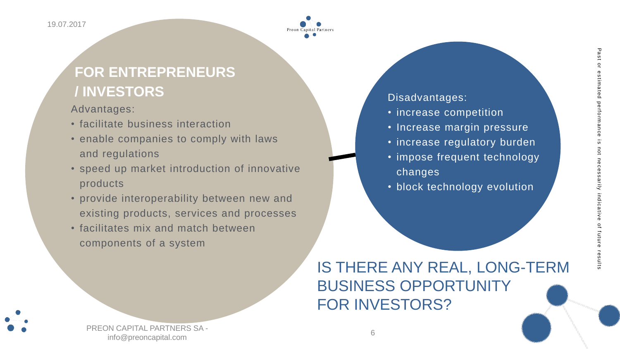

#### **FOR ENTREPRENEURS / INVESTORS**

Advantages:

- facilitate business interaction
- enable companies to comply with laws and regulations
- speed up market introduction of innovative products
- provide interoperability between new and existing products, services and processes
- facilitates mix and match between components of a system

### IS THERE ANY REAL, LONG-TERM BUSINESS OPPORTUNITY FOR INVESTORS?



PREON CAPITAL PARTNERS SA info@preoncapital.com 6

#### Disadvantages:

- increase competition
- Increase margin pressure
- increase regulatory burden
- impose frequent technology changes
- block technology evolution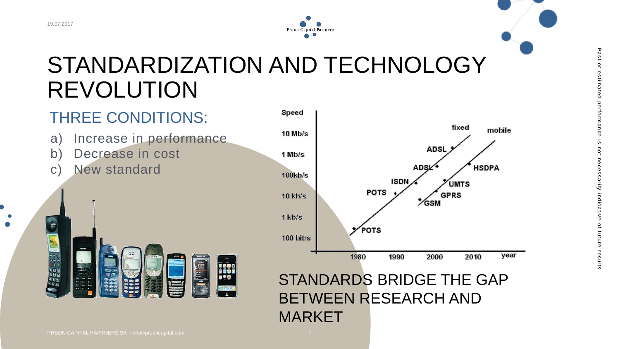

### STANDARDIZATION AND TECHNOLOGY REVOLUTION

### THREE CONDITIONS:

- a) Increase in performance
- b) Decrease in cost
- c) New standard





STANDARDS BRIDGE THE GAP BETWEEN RESEARCH AND MARKET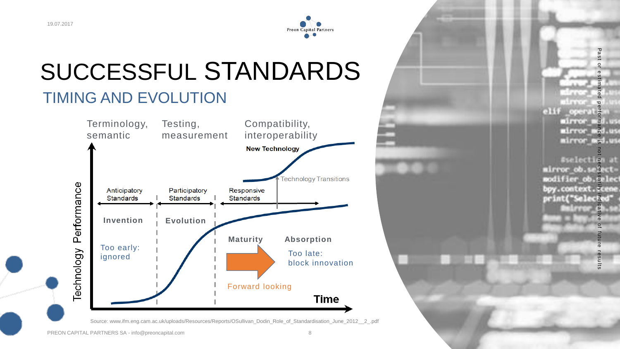

### SUCCESSFUL STANDARDS TIMING AND EVOLUTION



Source: www.ifm.eng.cam.ac.uk/uploads/Resources/Reports/OSullivan\_Dodin\_Role\_of\_Standardisation\_June\_2012\_\_2\_.pdf

 $\circ$ e s  $\overline{a}$ ate  $\frac{p}{q}$  $opt-11\frac{a}{b}$  $\text{airror} = \frac{3}{5}d$ , as mirror mod.us mirror est.us

P a

Past or estimated performance is not necessarily indicative of future results Past or estimated performance is not necessarily indicative of future results **Aselection at** mirror ob. segectmodifier ob. Selec bpy.context.scene print("Selecied"

esults

PREON CAPITAL PARTNERS SA - info@preoncapital.com 8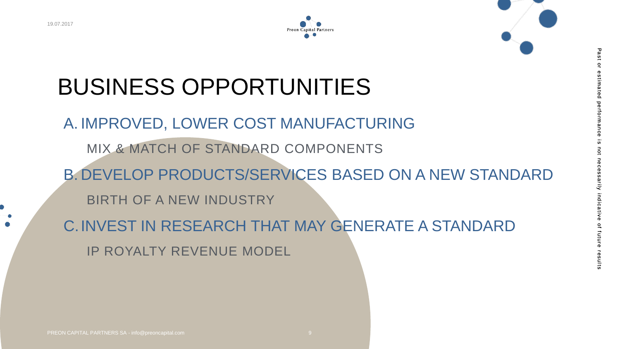



# BUSINESS OPPORTUNITIES

- A. IMPROVED, LOWER COST MANUFACTURING
	- MIX & MATCH OF STANDARD COMPONENTS
- B. DEVELOP PRODUCTS/SERVICES BASED ON A NEW STANDARD
	- BIRTH OF A NEW INDUSTRY
- C.INVEST IN RESEARCH THAT MAY GENERATE A STANDARD IP ROYALTY REVENUE MODEL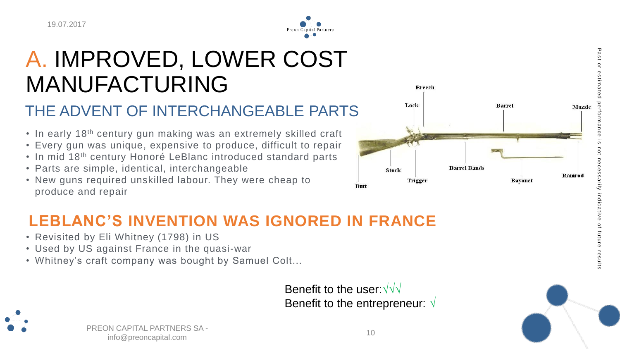

## A. IMPROVED, LOWER COST MANUFACTURING

#### THE ADVENT OF INTERCHANGEABLE PARTS

- In early 18<sup>th</sup> century gun making was an extremely skilled craft
- Every gun was unique, expensive to produce, difficult to repair
- In mid 18<sup>th</sup> century Honoré LeBlanc introduced standard parts
- Parts are simple, identical, interchangeable
- New guns required unskilled labour. They were cheap to produce and repair



### **LEBLANC'S INVENTION WAS IGNORED IN FRANCE**

- Revisited by Eli Whitney (1798) in US
- Used by US against France in the quasi-war
- Whitney's craft company was bought by Samuel Colt…

Benefit to the user:√√√ Benefit to the entrepreneur: √



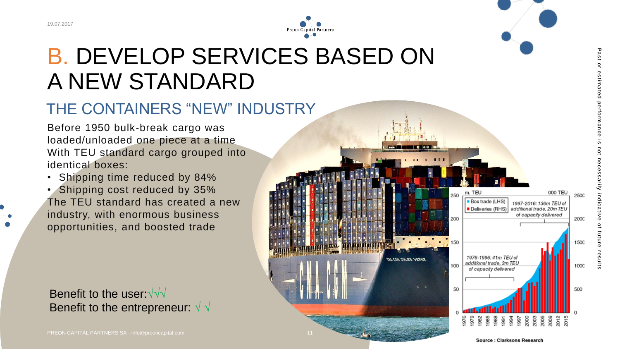

### B. DEVELOP SERVICES BASED ON A NEW STANDARD

#### THE CONTAINERS "NEW" INDUSTRY

Before 1950 bulk-break cargo was loaded/unloaded one piece at a time With TEU standard cargo grouped into identical boxes:

• Shipping time reduced by 84% • Shipping cost reduced by 35% The TEU standard has created a new industry, with enormous business opportunities, and boosted trade

Benefit to the user: √√√ Benefit to the entrepreneur:  $\sqrt{\sqrt{2}}$ 

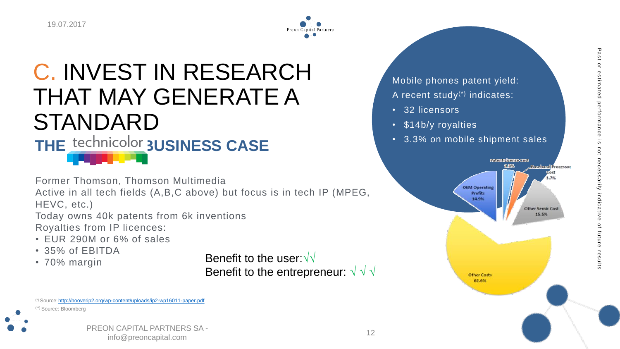

### C. INVEST IN RESEARCH THAT MAY GENERATE A STANDARD THE technicolor **3USINESS CASE**

Former Thomson, Thomson Multimedia

Active in all tech fields (A,B,C above) but focus is in tech IP (MPEG, HEVC, etc.)

Today owns 40k patents from 6k inventions Royalties from IP licences:

- EUR 290M or 6% of sales
- 35% of EBITDA
- 70% margin

Benefit to the user:√√ Benefit to the entrepreneur:  $\sqrt{\sqrt{x}}$ 

(\*) Source: <http://hooverip2.org/wp-content/uploads/ip2-wp16011-paper.pdf> (\*\*) Source: Bloomberg



Mobile phones patent yield: A recent study(\*) indicates:

- 32 licensors
- \$14b/y royalties
- 3.3% on mobile shipment sales

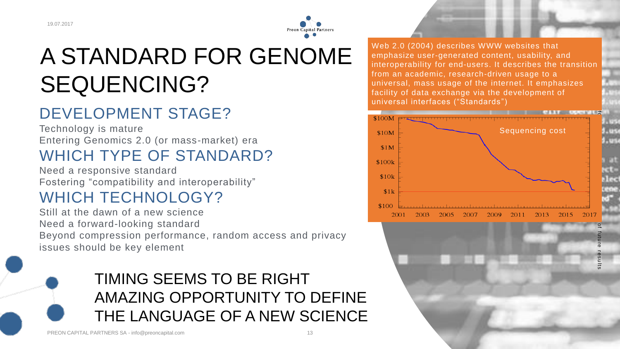

## A STANDARD FOR GENOME SEQUENCING?

### DEVELOPMENT STAGE?

Technology is mature Entering Genomics 2.0 (or mass-market) era WHICH TYPE OF STANDARD?

Need a responsive standard Fostering "compatibility and interoperability"

#### WHICH TECHNOLOGY?

Still at the dawn of a new science Need a forward-looking standard Beyond compression performance, random access and privacy issues should be key element

### TIMING SEEMS TO BE RIGHT AMAZING OPPORTUNITY TO DEFINE THE LANGUAGE OF A NEW SCIENCE

Web 2.0 (2004) describes WWW websites that emphasize user-generated content, usability, and interoperability for end-users. It describes the transition from an academic, research-driven usage to a universal, mass usage of the internet. It emphasizes facility of data exchange via the development of universal interfaces ("Standards")